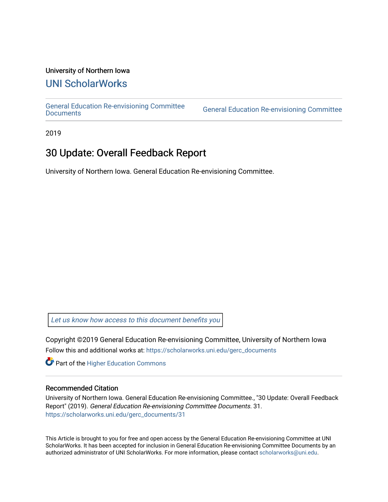#### University of Northern Iowa

## [UNI ScholarWorks](https://scholarworks.uni.edu/)

[General Education Re-envisioning Committee](https://scholarworks.uni.edu/gerc_documents) 

**General Education Re-envisioning Committee** 

2019

## 30 Update: Overall Feedback Report

University of Northern Iowa. General Education Re-envisioning Committee.

[Let us know how access to this document benefits you](https://scholarworks.uni.edu/feedback_form.html) 

Copyright ©2019 General Education Re-envisioning Committee, University of Northern Iowa Follow this and additional works at: [https://scholarworks.uni.edu/gerc\\_documents](https://scholarworks.uni.edu/gerc_documents?utm_source=scholarworks.uni.edu%2Fgerc_documents%2F31&utm_medium=PDF&utm_campaign=PDFCoverPages)

**Part of the Higher Education Commons** 

#### Recommended Citation

University of Northern Iowa. General Education Re-envisioning Committee., "30 Update: Overall Feedback Report" (2019). General Education Re-envisioning Committee Documents. 31. [https://scholarworks.uni.edu/gerc\\_documents/31](https://scholarworks.uni.edu/gerc_documents/31?utm_source=scholarworks.uni.edu%2Fgerc_documents%2F31&utm_medium=PDF&utm_campaign=PDFCoverPages) 

This Article is brought to you for free and open access by the General Education Re-envisioning Committee at UNI ScholarWorks. It has been accepted for inclusion in General Education Re-envisioning Committee Documents by an authorized administrator of UNI ScholarWorks. For more information, please contact [scholarworks@uni.edu.](mailto:scholarworks@uni.edu)